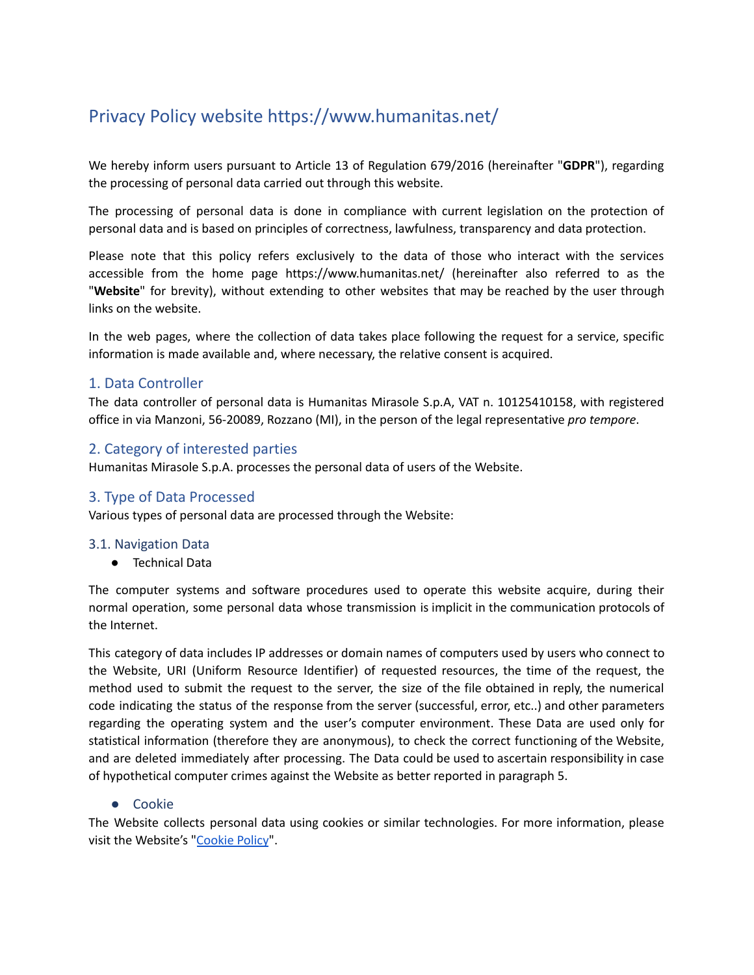# Privacy Policy website https://www.humanitas.net/

We hereby inform users pursuant to Article 13 of Regulation 679/2016 (hereinafter "**GDPR**"), regarding the processing of personal data carried out through this website.

The processing of personal data is done in compliance with current legislation on the protection of personal data and is based on principles of correctness, lawfulness, transparency and data protection.

Please note that this policy refers exclusively to the data of those who interact with the services accessible from the home page https://www.humanitas.net/ (hereinafter also referred to as the "**Website**" for brevity), without extending to other websites that may be reached by the user through links on the website.

In the web pages, where the collection of data takes place following the request for a service, specific information is made available and, where necessary, the relative consent is acquired.

# 1. Data Controller

The data controller of personal data is Humanitas Mirasole S.p.A, VAT n. 10125410158, with registered office in via Manzoni, 56-20089, Rozzano (MI), in the person of the legal representative *pro tempore*.

# 2. Category of interested parties

Humanitas Mirasole S.p.A. processes the personal data of users of the Website.

## 3. Type of Data Processed

Various types of personal data are processed through the Website:

#### 3.1. Navigation Data

● Technical Data

The computer systems and software procedures used to operate this website acquire, during their normal operation, some personal data whose transmission is implicit in the communication protocols of the Internet.

This category of data includes IP addresses or domain names of computers used by users who connect to the Website, URI (Uniform Resource Identifier) of requested resources, the time of the request, the method used to submit the request to the server, the size of the file obtained in reply, the numerical code indicating the status of the response from the server (successful, error, etc..) and other parameters regarding the operating system and the user's computer environment. These Data are used only for statistical information (therefore they are anonymous), to check the correct functioning of the Website, and are deleted immediately after processing. The Data could be used to ascertain responsibility in case of hypothetical computer crimes against the Website as better reported in paragraph 5.

#### ● Cookie

The Website collects personal data using cookies or similar technologies. For more information, please visit the Website's "[Cookie](http://humanitas.it/wp-content/uploads/policy/Cookie-Policy_HumanitasNet.pdf) Policy".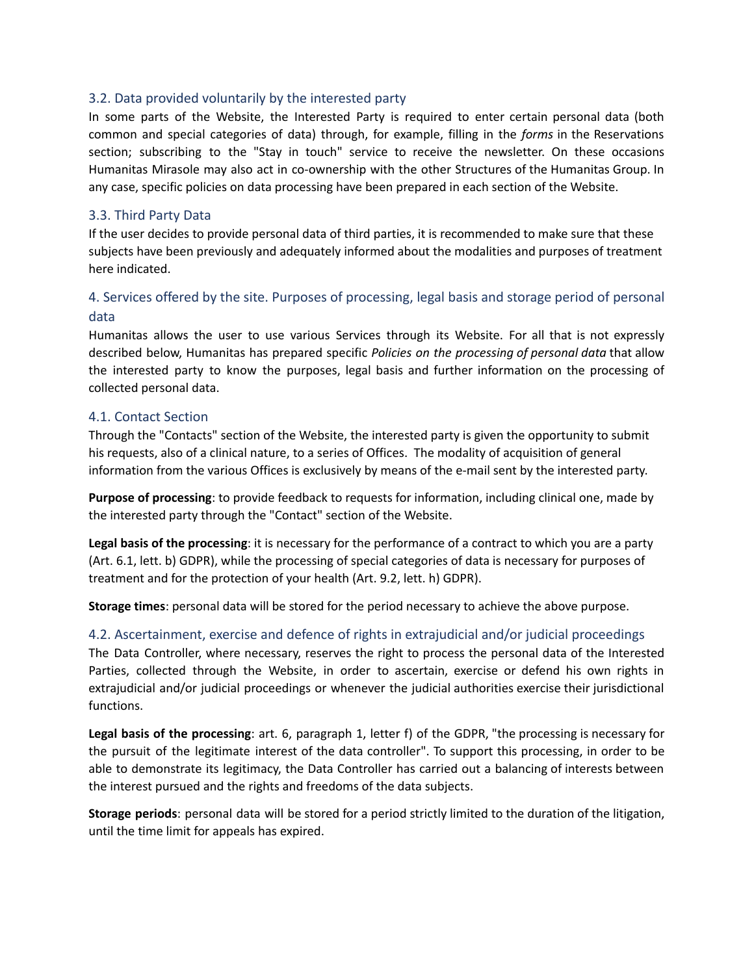#### 3.2. Data provided voluntarily by the interested party

In some parts of the Website, the Interested Party is required to enter certain personal data (both common and special categories of data) through, for example, filling in the *forms* in the Reservations section; subscribing to the "Stay in touch" service to receive the newsletter. On these occasions Humanitas Mirasole may also act in co-ownership with the other Structures of the Humanitas Group. In any case, specific policies on data processing have been prepared in each section of the Website.

#### 3.3. Third Party Data

If the user decides to provide personal data of third parties, it is recommended to make sure that these subjects have been previously and adequately informed about the modalities and purposes of treatment here indicated.

# 4. Services offered by the site. Purposes of processing, legal basis and storage period of personal data

Humanitas allows the user to use various Services through its Website. For all that is not expressly described below, Humanitas has prepared specific *Policies on the processing of personal data* that allow the interested party to know the purposes, legal basis and further information on the processing of collected personal data.

## 4.1. Contact Section

Through the "Contacts" section of the Website, the interested party is given the opportunity to submit his requests, also of a clinical nature, to a series of Offices. The modality of acquisition of general information from the various Offices is exclusively by means of the e-mail sent by the interested party.

**Purpose of processing**: to provide feedback to requests for information, including clinical one, made by the interested party through the "Contact" section of the Website.

**Legal basis of the processing**: it is necessary for the performance of a contract to which you are a party (Art. 6.1, lett. b) GDPR), while the processing of special categories of data is necessary for purposes of treatment and for the protection of your health (Art. 9.2, lett. h) GDPR).

**Storage times**: personal data will be stored for the period necessary to achieve the above purpose.

## 4.2. Ascertainment, exercise and defence of rights in extrajudicial and/or judicial proceedings

The Data Controller, where necessary, reserves the right to process the personal data of the Interested Parties, collected through the Website, in order to ascertain, exercise or defend his own rights in extrajudicial and/or judicial proceedings or whenever the judicial authorities exercise their jurisdictional functions.

**Legal basis of the processing**: art. 6, paragraph 1, letter f) of the GDPR, "the processing is necessary for the pursuit of the legitimate interest of the data controller". To support this processing, in order to be able to demonstrate its legitimacy, the Data Controller has carried out a balancing of interests between the interest pursued and the rights and freedoms of the data subjects.

**Storage periods**: personal data will be stored for a period strictly limited to the duration of the litigation, until the time limit for appeals has expired.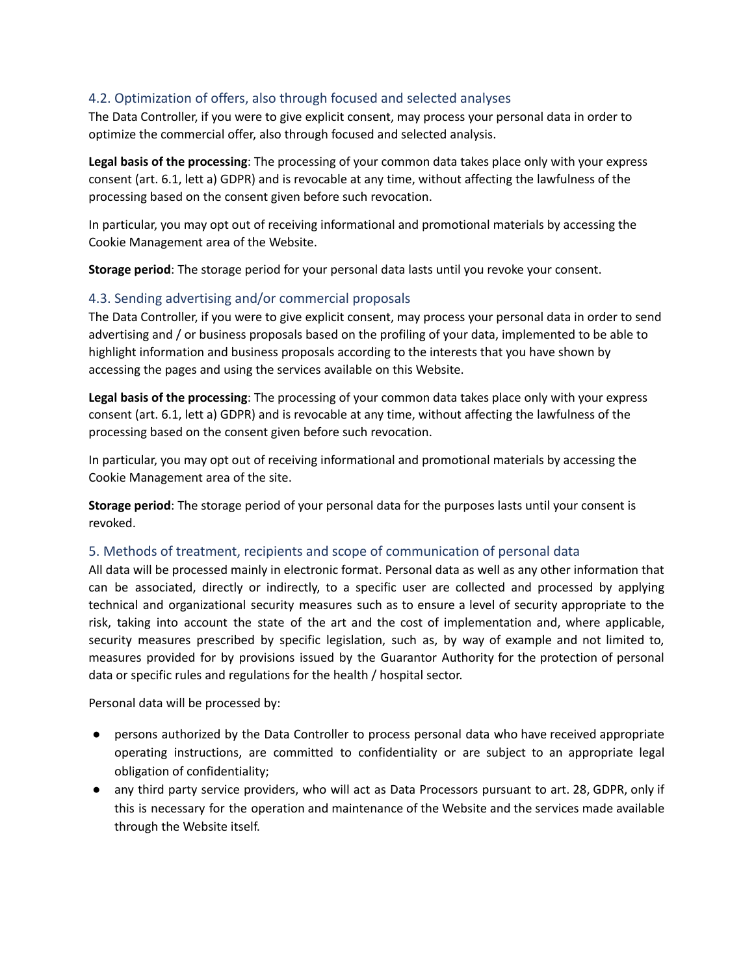# 4.2. Optimization of offers, also through focused and selected analyses

The Data Controller, if you were to give explicit consent, may process your personal data in order to optimize the commercial offer, also through focused and selected analysis.

**Legal basis of the processing**: The processing of your common data takes place only with your express consent (art. 6.1, lett a) GDPR) and is revocable at any time, without affecting the lawfulness of the processing based on the consent given before such revocation.

In particular, you may opt out of receiving informational and promotional materials by accessing the Cookie Management area of the Website.

**Storage period**: The storage period for your personal data lasts until you revoke your consent.

# 4.3. Sending advertising and/or commercial proposals

The Data Controller, if you were to give explicit consent, may process your personal data in order to send advertising and / or business proposals based on the profiling of your data, implemented to be able to highlight information and business proposals according to the interests that you have shown by accessing the pages and using the services available on this Website.

**Legal basis of the processing**: The processing of your common data takes place only with your express consent (art. 6.1, lett a) GDPR) and is revocable at any time, without affecting the lawfulness of the processing based on the consent given before such revocation.

In particular, you may opt out of receiving informational and promotional materials by accessing the Cookie Management area of the site.

**Storage period**: The storage period of your personal data for the purposes lasts until your consent is revoked.

## 5. Methods of treatment, recipients and scope of communication of personal data

All data will be processed mainly in electronic format. Personal data as well as any other information that can be associated, directly or indirectly, to a specific user are collected and processed by applying technical and organizational security measures such as to ensure a level of security appropriate to the risk, taking into account the state of the art and the cost of implementation and, where applicable, security measures prescribed by specific legislation, such as, by way of example and not limited to, measures provided for by provisions issued by the Guarantor Authority for the protection of personal data or specific rules and regulations for the health / hospital sector.

Personal data will be processed by:

- persons authorized by the Data Controller to process personal data who have received appropriate operating instructions, are committed to confidentiality or are subject to an appropriate legal obligation of confidentiality;
- any third party service providers, who will act as Data Processors pursuant to art. 28, GDPR, only if this is necessary for the operation and maintenance of the Website and the services made available through the Website itself.